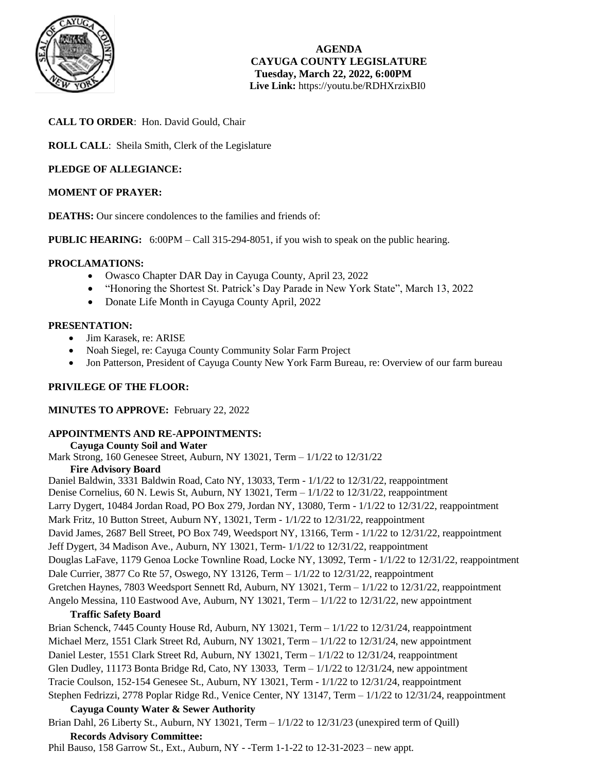

**AGENDA CAYUGA COUNTY LEGISLATURE Tuesday, March 22, 2022, 6:00PM Live Link:** <https://youtu.be/RDHXrzixBI0>

# **CALL TO ORDER**: Hon. David Gould, Chair

**ROLL CALL**: Sheila Smith, Clerk of the Legislature

# **PLEDGE OF ALLEGIANCE:**

# **MOMENT OF PRAYER:**

**DEATHS:** Our sincere condolences to the families and friends of:

**PUBLIC HEARING:** 6:00PM – Call 315-294-8051, if you wish to speak on the public hearing.

# **PROCLAMATIONS:**

- Owasco Chapter DAR Day in Cayuga County, April 23, 2022
- "Honoring the Shortest St. Patrick's Day Parade in New York State", March 13, 2022
- Donate Life Month in Cayuga County April, 2022

# **PRESENTATION:**

- Jim Karasek, re: ARISE
- Noah Siegel, re: Cayuga County Community Solar Farm Project
- Jon Patterson, President of Cayuga County New York Farm Bureau, re: Overview of our farm bureau

# **PRIVILEGE OF THE FLOOR:**

# **MINUTES TO APPROVE:** February 22, 2022

# **APPOINTMENTS AND RE-APPOINTMENTS:**

**Cayuga County Soil and Water** 

Mark Strong, 160 Genesee Street, Auburn, NY 13021, Term – 1/1/22 to 12/31/22 **Fire Advisory Board** 

Daniel Baldwin, 3331 Baldwin Road, Cato NY, 13033, Term - 1/1/22 to 12/31/22, reappointment Denise Cornelius, 60 N. Lewis St, Auburn, NY 13021, Term  $-1/1/22$  to  $12/31/22$ , reappointment Larry Dygert, 10484 Jordan Road, PO Box 279, Jordan NY, 13080, Term - 1/1/22 to 12/31/22, reappointment Mark Fritz, 10 Button Street, Auburn NY, 13021, Term -  $1/1/22$  to 12/31/22, reappointment David James, 2687 Bell Street, PO Box 749, Weedsport NY, 13166, Term - 1/1/22 to 12/31/22, reappointment Jeff Dygert, 34 Madison Ave., Auburn, NY 13021, Term- 1/1/22 to 12/31/22, reappointment Douglas LaFave, 1179 Genoa Locke Townline Road, Locke NY, 13092, Term - 1/1/22 to 12/31/22, reappointment Dale Currier, 3877 Co Rte 57, Oswego, NY 13126, Term – 1/1/22 to 12/31/22, reappointment Gretchen Haynes, 7803 Weedsport Sennett Rd, Auburn, NY 13021, Term – 1/1/22 to 12/31/22, reappointment Angelo Messina, 110 Eastwood Ave, Auburn, NY 13021, Term – 1/1/22 to 12/31/22, new appointment

# **Traffic Safety Board**

Brian Schenck, 7445 County House Rd, Auburn, NY 13021, Term –  $1/1/22$  to 12/31/24, reappointment Michael Merz, 1551 Clark Street Rd, Auburn, NY 13021, Term – 1/1/22 to 12/31/24, new appointment Daniel Lester, 1551 Clark Street Rd, Auburn, NY 13021, Term – 1/1/22 to 12/31/24, reappointment Glen Dudley, 11173 Bonta Bridge Rd, Cato, NY 13033, Term  $-1/1/22$  to 12/31/24, new appointment Tracie Coulson, 152-154 Genesee St., Auburn, NY 13021, Term - 1/1/22 to 12/31/24, reappointment Stephen Fedrizzi, 2778 Poplar Ridge Rd., Venice Center, NY 13147, Term – 1/1/22 to 12/31/24, reappointment

# **Cayuga County Water & Sewer Authority**

Brian Dahl, 26 Liberty St., Auburn, NY 13021, Term – 1/1/22 to 12/31/23 (unexpired term of Quill) **Records Advisory Committee:**

Phil Bauso, 158 Garrow St., Ext., Auburn, NY - -Term 1-1-22 to 12-31-2023 – new appt.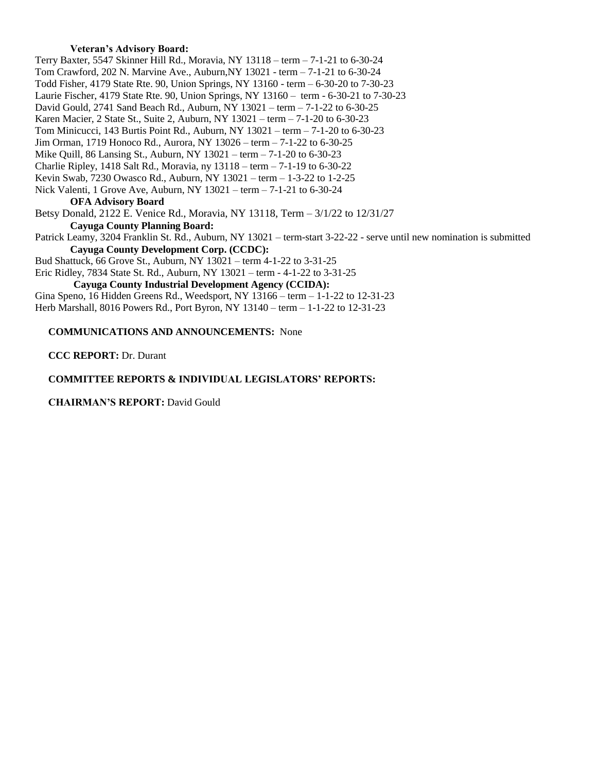## **Veteran's Advisory Board:**

Terry Baxter, 5547 Skinner Hill Rd., Moravia, NY 13118 – term – 7-1-21 to 6-30-24 Tom Crawford, 202 N. Marvine Ave., Auburn,NY 13021 - term – 7-1-21 to 6-30-24 Todd Fisher, 4179 State Rte. 90, Union Springs, NY 13160 - term – 6-30-20 to 7-30-23 Laurie Fischer, 4179 State Rte. 90, Union Springs, NY 13160 – term - 6-30-21 to 7-30-23 David Gould, 2741 Sand Beach Rd., Auburn, NY 13021 – term – 7-1-22 to 6-30-25 Karen Macier, 2 State St., Suite 2, Auburn, NY 13021 – term – 7-1-20 to 6-30-23 Tom Minicucci, 143 Burtis Point Rd., Auburn, NY 13021 – term – 7-1-20 to 6-30-23 Jim Orman, 1719 Honoco Rd., Aurora, NY 13026 – term – 7-1-22 to 6-30-25 Mike Quill, 86 Lansing St., Auburn, NY 13021 – term – 7-1-20 to 6-30-23 Charlie Ripley, 1418 Salt Rd., Moravia, ny 13118 – term – 7-1-19 to 6-30-22 Kevin Swab, 7230 Owasco Rd., Auburn, NY 13021 – term – 1-3-22 to 1-2-25 Nick Valenti, 1 Grove Ave, Auburn, NY 13021 – term – 7-1-21 to 6-30-24 **OFA Advisory Board**  Betsy Donald, 2122 E. Venice Rd., Moravia, NY 13118, Term – 3/1/22 to 12/31/27 **Cayuga County Planning Board:** Patrick Leamy, 3204 Franklin St. Rd., Auburn, NY 13021 – term-start 3-22-22 - serve until new nomination is submitted **Cayuga County Development Corp. (CCDC):** Bud Shattuck, 66 Grove St., Auburn, NY 13021 – term 4-1-22 to 3-31-25 Eric Ridley, 7834 State St. Rd., Auburn, NY 13021 – term - 4-1-22 to 3-31-25 **Cayuga County Industrial Development Agency (CCIDA):**

Gina Speno, 16 Hidden Greens Rd., Weedsport, NY 13166 – term – 1-1-22 to 12-31-23 Herb Marshall, 8016 Powers Rd., Port Byron, NY 13140 – term – 1-1-22 to 12-31-23

# **COMMUNICATIONS AND ANNOUNCEMENTS:** None

**CCC REPORT:** Dr. Durant

## **COMMITTEE REPORTS & INDIVIDUAL LEGISLATORS' REPORTS:**

## **CHAIRMAN'S REPORT:** David Gould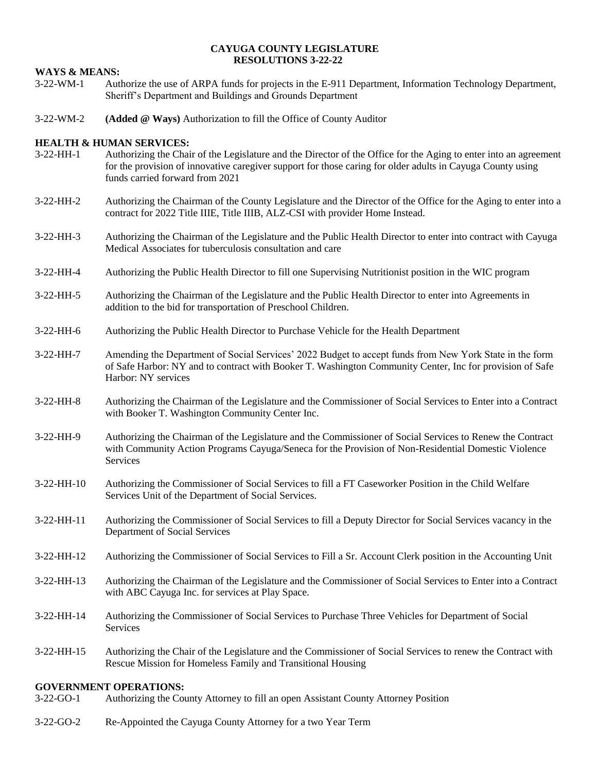### **CAYUGA COUNTY LEGISLATURE RESOLUTIONS 3-22-22**

# **WAYS & MEANS:**

- 3-22-WM-1 Authorize the use of ARPA funds for projects in the E-911 Department, Information Technology Department, Sheriff's Department and Buildings and Grounds Department
- 3-22-WM-2 **(Added @ Ways)** Authorization to fill the Office of County Auditor

# **HEALTH & HUMAN SERVICES:**

- 3-22-HH-1 Authorizing the Chair of the Legislature and the Director of the Office for the Aging to enter into an agreement for the provision of innovative caregiver support for those caring for older adults in Cayuga County using funds carried forward from 2021
- 3-22-HH-2 Authorizing the Chairman of the County Legislature and the Director of the Office for the Aging to enter into a contract for 2022 Title IIIE, Title IIIB, ALZ-CSI with provider Home Instead.
- 3-22-HH-3 Authorizing the Chairman of the Legislature and the Public Health Director to enter into contract with Cayuga Medical Associates for tuberculosis consultation and care
- 3-22-HH-4 Authorizing the Public Health Director to fill one Supervising Nutritionist position in the WIC program
- 3-22-HH-5 Authorizing the Chairman of the Legislature and the Public Health Director to enter into Agreements in addition to the bid for transportation of Preschool Children.
- 3-22-HH-6 Authorizing the Public Health Director to Purchase Vehicle for the Health Department
- 3-22-HH-7 Amending the Department of Social Services' 2022 Budget to accept funds from New York State in the form of Safe Harbor: NY and to contract with Booker T. Washington Community Center, Inc for provision of Safe Harbor: NY services
- 3-22-HH-8 Authorizing the Chairman of the Legislature and the Commissioner of Social Services to Enter into a Contract with Booker T. Washington Community Center Inc.
- 3-22-HH-9 Authorizing the Chairman of the Legislature and the Commissioner of Social Services to Renew the Contract with Community Action Programs Cayuga/Seneca for the Provision of Non-Residential Domestic Violence Services
- 3-22-HH-10 Authorizing the Commissioner of Social Services to fill a FT Caseworker Position in the Child Welfare Services Unit of the Department of Social Services.
- 3-22-HH-11 Authorizing the Commissioner of Social Services to fill a Deputy Director for Social Services vacancy in the Department of Social Services
- 3-22-HH-12 Authorizing the Commissioner of Social Services to Fill a Sr. Account Clerk position in the Accounting Unit
- 3-22-HH-13 Authorizing the Chairman of the Legislature and the Commissioner of Social Services to Enter into a Contract with ABC Cayuga Inc. for services at Play Space.
- 3-22-HH-14 Authorizing the Commissioner of Social Services to Purchase Three Vehicles for Department of Social Services
- 3-22-HH-15 Authorizing the Chair of the Legislature and the Commissioner of Social Services to renew the Contract with Rescue Mission for Homeless Family and Transitional Housing

# **GOVERNMENT OPERATIONS:**<br>3-22-GO-1 Authorizing the Cor

- 3-22-GO-1 Authorizing the County Attorney to fill an open Assistant County Attorney Position
- 3-22-GO-2 Re-Appointed the Cayuga County Attorney for a two Year Term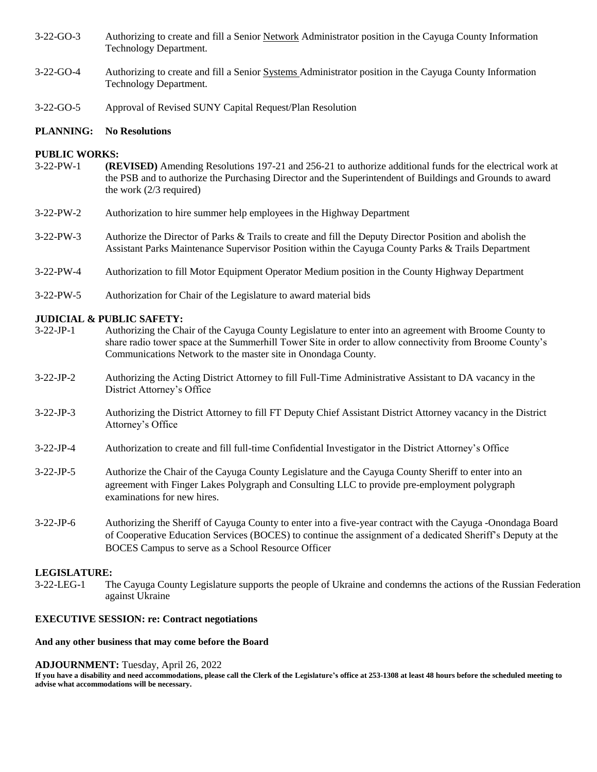- 3-22-GO-3 Authorizing to create and fill a Senior Network Administrator position in the Cayuga County Information Technology Department.
- 3-22-GO-4 Authorizing to create and fill a Senior Systems Administrator position in the Cayuga County Information Technology Department.
- 3-22-GO-5 Approval of Revised SUNY Capital Request/Plan Resolution

### **PLANNING: No Resolutions**

### **PUBLIC WORKS:**

- 3-22-PW-1 **(REVISED)** Amending Resolutions 197-21 and 256-21 to authorize additional funds for the electrical work at the PSB and to authorize the Purchasing Director and the Superintendent of Buildings and Grounds to award the work (2/3 required)
- 3-22-PW-2 Authorization to hire summer help employees in the Highway Department
- 3-22-PW-3 Authorize the Director of Parks & Trails to create and fill the Deputy Director Position and abolish the Assistant Parks Maintenance Supervisor Position within the Cayuga County Parks & Trails Department
- 3-22-PW-4 Authorization to fill Motor Equipment Operator Medium position in the County Highway Department
- 3-22-PW-5 Authorization for Chair of the Legislature to award material bids

# **JUDICIAL & PUBLIC SAFETY:**

- 3-22-JP-1 Authorizing the Chair of the Cayuga County Legislature to enter into an agreement with Broome County to share radio tower space at the Summerhill Tower Site in order to allow connectivity from Broome County's Communications Network to the master site in Onondaga County.
- 3-22-JP-2 Authorizing the Acting District Attorney to fill Full-Time Administrative Assistant to DA vacancy in the District Attorney's Office
- 3-22-JP-3 Authorizing the District Attorney to fill FT Deputy Chief Assistant District Attorney vacancy in the District Attorney's Office
- 3-22-JP-4 Authorization to create and fill full-time Confidential Investigator in the District Attorney's Office
- 3-22-JP-5 Authorize the Chair of the Cayuga County Legislature and the Cayuga County Sheriff to enter into an agreement with Finger Lakes Polygraph and Consulting LLC to provide pre-employment polygraph examinations for new hires.
- 3-22-JP-6 Authorizing the Sheriff of Cayuga County to enter into a five-year contract with the Cayuga -Onondaga Board of Cooperative Education Services (BOCES) to continue the assignment of a dedicated Sheriff's Deputy at the BOCES Campus to serve as a School Resource Officer

### **LEGISLATURE:**

3-22-LEG-1 The Cayuga County Legislature supports the people of Ukraine and condemns the actions of the Russian Federation against Ukraine

### **EXECUTIVE SESSION: re: Contract negotiations**

### **And any other business that may come before the Board**

### **ADJOURNMENT:** Tuesday, April 26, 2022

**If you have a disability and need accommodations, please call the Clerk of the Legislature's office at 253-1308 at least 48 hours before the scheduled meeting to advise what accommodations will be necessary.**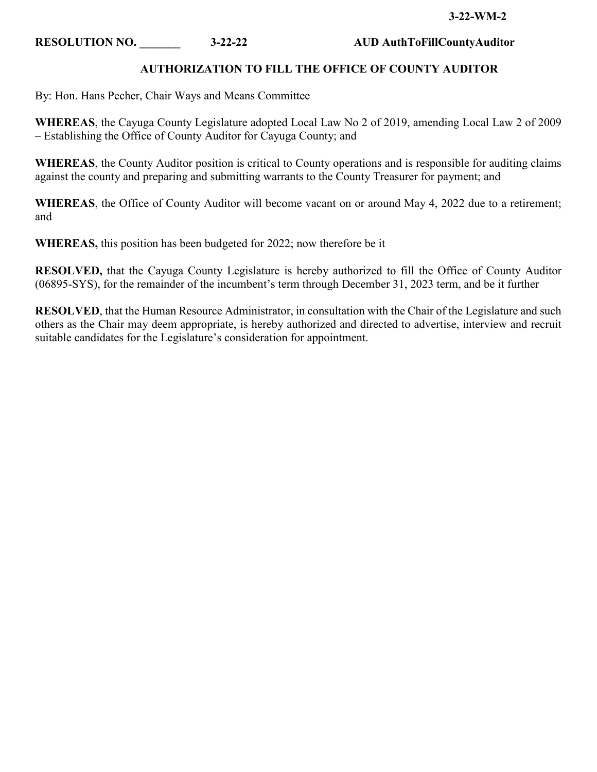# **AUTHORIZATION TO FILL THE OFFICE OF COUNTY AUDITOR**

By: Hon. Hans Pecher, Chair Ways and Means Committee

**WHEREAS**, the Cayuga County Legislature adopted Local Law No 2 of 2019, amending Local Law 2 of 2009 – Establishing the Office of County Auditor for Cayuga County; and

**WHEREAS**, the County Auditor position is critical to County operations and is responsible for auditing claims against the county and preparing and submitting warrants to the County Treasurer for payment; and

**WHEREAS**, the Office of County Auditor will become vacant on or around May 4, 2022 due to a retirement; and

**WHEREAS,** this position has been budgeted for 2022; now therefore be it

**RESOLVED,** that the Cayuga County Legislature is hereby authorized to fill the Office of County Auditor (06895-SYS), for the remainder of the incumbent's term through December 31, 2023 term, and be it further

**RESOLVED**, that the Human Resource Administrator, in consultation with the Chair of the Legislature and such others as the Chair may deem appropriate, is hereby authorized and directed to advertise, interview and recruit suitable candidates for the Legislature's consideration for appointment.